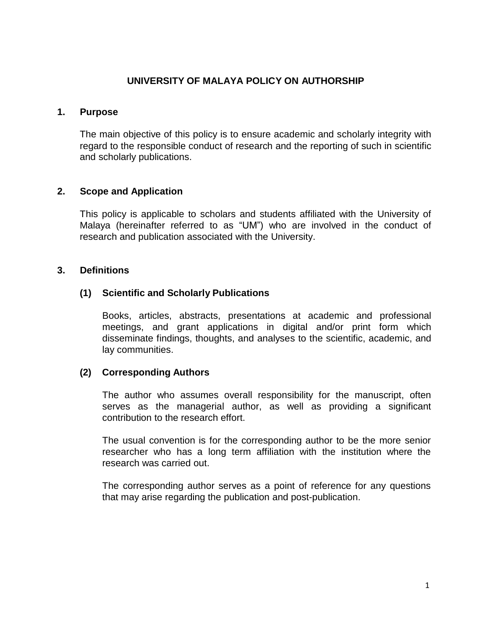### **UNIVERSITY OF MALAYA POLICY ON AUTHORSHIP**

#### **1. Purpose**

The main objective of this policy is to ensure academic and scholarly integrity with regard to the responsible conduct of research and the reporting of such in scientific and scholarly publications.

### **2. Scope and Application**

This policy is applicable to scholars and students affiliated with the University of Malaya (hereinafter referred to as "UM") who are involved in the conduct of research and publication associated with the University.

### **3. Definitions**

### **(1) Scientific and Scholarly Publications**

Books, articles, abstracts, presentations at academic and professional meetings, and grant applications in digital and/or print form which disseminate findings, thoughts, and analyses to the scientific, academic, and lay communities.

### **(2) Corresponding Authors**

The author who assumes overall responsibility for the manuscript, often serves as the managerial author, as well as providing a significant contribution to the research effort.

The usual convention is for the corresponding author to be the more senior researcher who has a long term affiliation with the institution where the research was carried out.

The corresponding author serves as a point of reference for any questions that may arise regarding the publication and post-publication.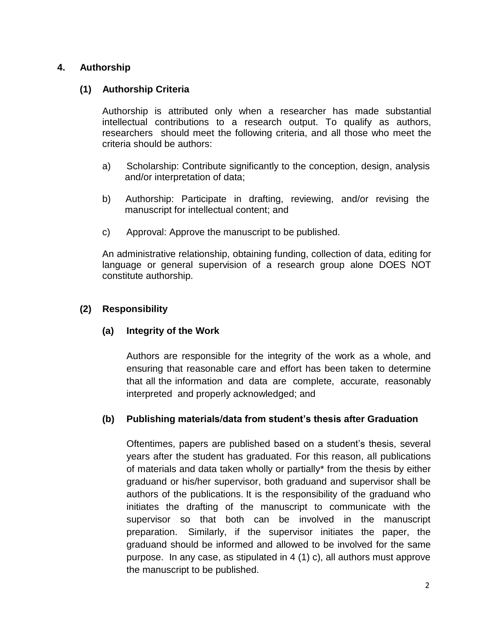# **4. Authorship**

# **(1) Authorship Criteria**

Authorship is attributed only when a researcher has made substantial intellectual contributions to a research output. To qualify as authors, researchers should meet the following criteria, and all those who meet the criteria should be authors:

- a) Scholarship: Contribute significantly to the conception, design, analysis and/or interpretation of data;
- b) Authorship: Participate in drafting, reviewing, and/or revising the manuscript for intellectual content; and
- c) Approval: Approve the manuscript to be published.

An administrative relationship, obtaining funding, collection of data, editing for language or general supervision of a research group alone DOES NOT constitute authorship.

### **(2) Responsibility**

# **(a) Integrity of the Work**

Authors are responsible for the integrity of the work as a whole, and ensuring that reasonable care and effort has been taken to determine that all the information and data are complete, accurate, reasonably interpreted and properly acknowledged; and

# **(b) Publishing materials/data from student's thesis after Graduation**

Oftentimes, papers are published based on a student's thesis, several years after the student has graduated. For this reason, all publications of materials and data taken wholly or partially\* from the thesis by either graduand or his/her supervisor, both graduand and supervisor shall be authors of the publications. It is the responsibility of the graduand who initiates the drafting of the manuscript to communicate with the supervisor so that both can be involved in the manuscript preparation. Similarly, if the supervisor initiates the paper, the graduand should be informed and allowed to be involved for the same purpose. In any case, as stipulated in 4 (1) c), all authors must approve the manuscript to be published.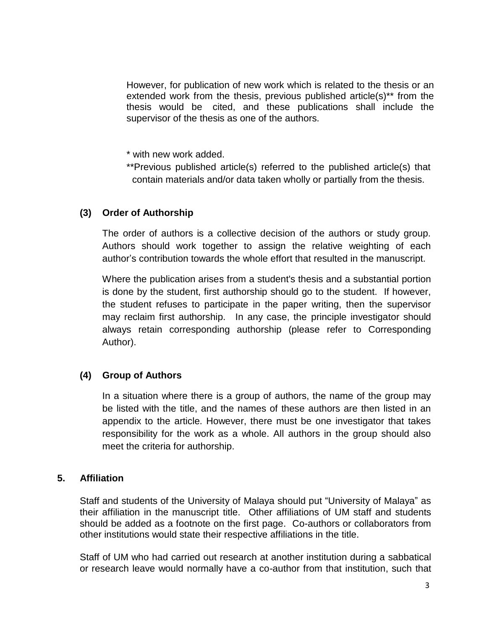However, for publication of new work which is related to the thesis or an extended work from the thesis, previous published article(s)\*\* from the thesis would be cited, and these publications shall include the supervisor of the thesis as one of the authors.

\* with new work added.

\*\*Previous published article(s) referred to the published article(s) that contain materials and/or data taken wholly or partially from the thesis.

### **(3) Order of Authorship**

The order of authors is a collective decision of the authors or study group. Authors should work together to assign the relative weighting of each author's contribution towards the whole effort that resulted in the manuscript.

Where the publication arises from a student's thesis and a substantial portion is done by the student, first authorship should go to the student. If however, the student refuses to participate in the paper writing, then the supervisor may reclaim first authorship. In any case, the principle investigator should always retain corresponding authorship (please refer to Corresponding Author).

### **(4) Group of Authors**

In a situation where there is a group of authors, the name of the group may be listed with the title, and the names of these authors are then listed in an appendix to the article. However, there must be one investigator that takes responsibility for the work as a whole. All authors in the group should also meet the criteria for authorship.

### **5. Affiliation**

Staff and students of the University of Malaya should put "University of Malaya" as their affiliation in the manuscript title. Other affiliations of UM staff and students should be added as a footnote on the first page. Co-authors or collaborators from other institutions would state their respective affiliations in the title.

Staff of UM who had carried out research at another institution during a sabbatical or research leave would normally have a co-author from that institution, such that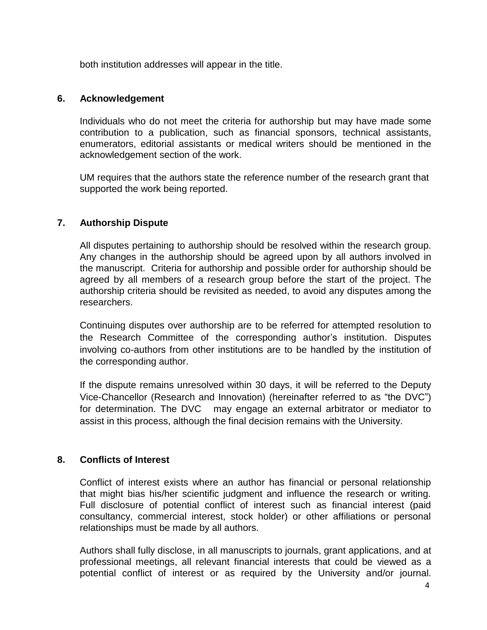both institution addresses will appear in the title.

### **6. Acknowledgement**

Individuals who do not meet the criteria for authorship but may have made some contribution to a publication, such as financial sponsors, technical assistants, enumerators, editorial assistants or medical writers should be mentioned in the acknowledgement section of the work.

UM requires that the authors state the reference number of the research grant that supported the work being reported.

# **7. Authorship Dispute**

All disputes pertaining to authorship should be resolved within the research group. Any changes in the authorship should be agreed upon by all authors involved in the manuscript. Criteria for authorship and possible order for authorship should be agreed by all members of a research group before the start of the project. The authorship criteria should be revisited as needed, to avoid any disputes among the researchers.

Continuing disputes over authorship are to be referred for attempted resolution to the Research Committee of the corresponding author's institution. Disputes involving co-authors from other institutions are to be handled by the institution of the corresponding author.

If the dispute remains unresolved within 30 days, it will be referred to the Deputy Vice-Chancellor (Research and Innovation) (hereinafter referred to as "the DVC") for determination. The DVC may engage an external arbitrator or mediator to assist in this process, although the final decision remains with the University.

### **8. Conflicts of Interest**

Conflict of interest exists where an author has financial or personal relationship that might bias his/her scientific judgment and influence the research or writing. Full disclosure of potential conflict of interest such as financial interest (paid consultancy, commercial interest, stock holder) or other affiliations or personal relationships must be made by all authors.

Authors shall fully disclose, in all manuscripts to journals, grant applications, and at professional meetings, all relevant financial interests that could be viewed as a potential conflict of interest or as required by the University and/or journal.